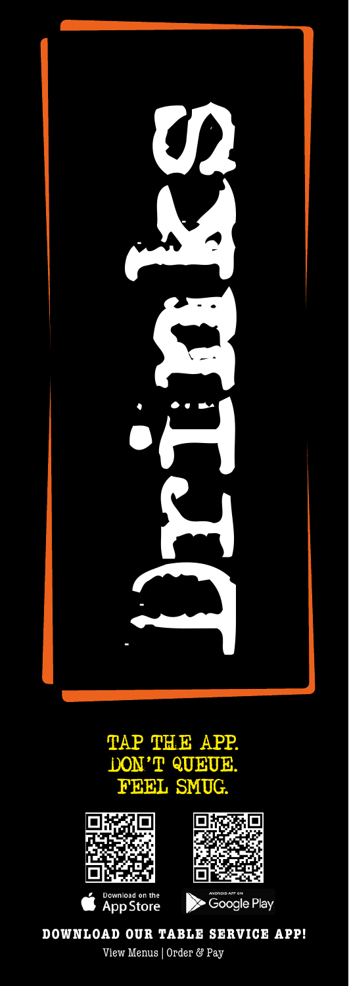

## TAP THE APP. DON'T QUEUE. FEEL SMUG.





**Soogle Play** 

**DOWNLOAD OUR TABLE SERVICE APP!** View Menus | Order & Pay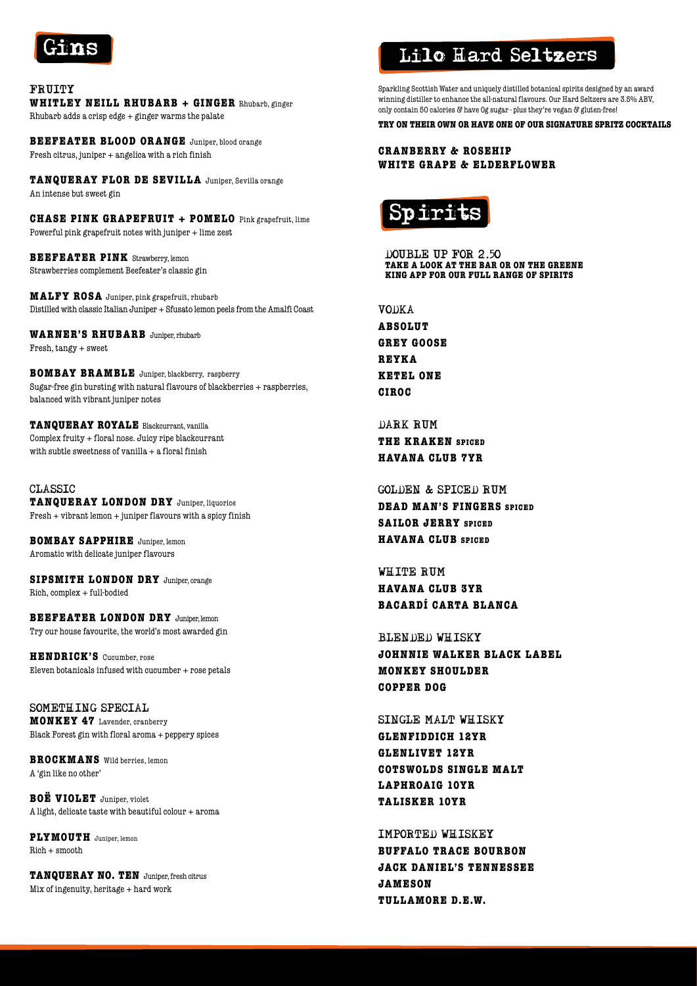

FRUITY **WHITLEY NEILL RHUBARB + GINGER** Rhubarb, ginger Rhubarb adds a crisp edge + ginger warms the palate

**BEEFEATER BLOOD ORANGE** Juniper, blood orange Fresh citrus, juniper + angelica with a rich finish

**TANQUERAY FLOR DE SEVILLA** Juniper, Sevilla orange An intense but sweet gin

**CHASE PINK GRAPEFRUIT + POMELO** Pink grapefruit, lime Powerful pink grapefruit notes with juniper + lime zest

**BEEFEATER PINK** Strawberry, lemon Strawberries complement Beefeater's classic gin

**MALFY ROSA** Juniper, pink grapefruit, rhubarb Distilled with classic Italian Juniper + Sfusato lemon peels from the Amalfi Coast

**WARNER'S RHUBARB** Juniper, rhubarb Fresh, tangy + sweet

**BOMBAY BRAMBLE** Juniper, blackberry, raspberry Sugar-free gin bursting with natural flavours of blackberries + raspberries, balanced with vibrant juniper notes

**TANQUERAY ROYALE** Blackcurrant, vanilla Complex fruity + floral nose. Juicy ripe blackcurrant with subtle sweetness of vanilla  $+$  a floral finish

CLASSIC **TANQUERAY LONDON DRY** Juniper, liquorice Fresh + vibrant lemon + juniper flavours with a spicy finish

**BOMBAY SAPPHIRE** Juniper, lemon Aromatic with delicate juniper flavours

**SIPSMITH LONDON DRY** Juniper, orange Rich, complex + full-bodied

**BEEFEATER LONDON DRY** Juniper, lemon Try our house favourite, the world's most awarded gin

**HENDRICK'S** Cucumber, rose Eleven botanicals infused with cucumber  $+$  rose petals

SOMETHING SPECIAL **MONKEY 47** Lavender, cranberry Black Forest gin with floral aroma + peppery spices

**BROCKMANS** Wild berries, lemon A 'gin like no other'

**BOË VIOLET** Juniper, violet A light, delicate taste with beautiful colour + aroma

**PLYMOUTH** Juniper, lemon  $Rich + smooth$ 

**TANQUERAY NO. TEN** Juniper, fresh citrus Mix of ingenuity, heritage + hard work

## Lilo Hard Seltzers

Sparkling Scottish Water and uniquely distilled botanical spirits designed by an award winning distiller to enhance the all-natural flavours. Our Hard Seltzers are 3.5% ABV, only contain 50 calories & have 0g sugar - plus they're vegan & gluten-free!

**TRY ON THEIR OWN OR HAVE ONE OF OUR SIGNATURE SPRITZ COCKTAILS**

**CRANBERRY & ROSEHIP WHITE GRAPE & ELDERFLOWER**



DOUBLE UP FOR 2.50 **TAKE A LOOK AT THE BAR OR ON THE GREENE KING APP FOR OUR FULL RANGE OF SPIRITS**

VODKA **ABSOLUT GREY GOOSE REYKA KETEL ONE CIROC**

DARK RUM **THE KRAKEN SPICED HAVANA CLUB 7YR**

GOLDEN & SPICED RUM **DEAD MAN'S FINGERS SPICED SAILOR JERRY SPICED HAVANA CLUB SPICED**

WHITE RUM **HAVANA CLUB 3YR BACARDÍ CARTA BLANCA**

BLENDED WHISKY

**JOHNNIE WALKER BLACK LABEL MONKEY SHOULDER COPPER DOG**

SINGLE MALT WHISKY

**GLENFIDDICH 12YR GLENLIVET 12YR COTSWOLDS SINGLE MALT LAPHROAIG 10YR TALISKER 10YR**

IMPORTED WHISKEY **BUFFALO TRACE BOURBON JACK DANIEL'S TENNESSEE JAMESON TULLAMORE D.E.W.**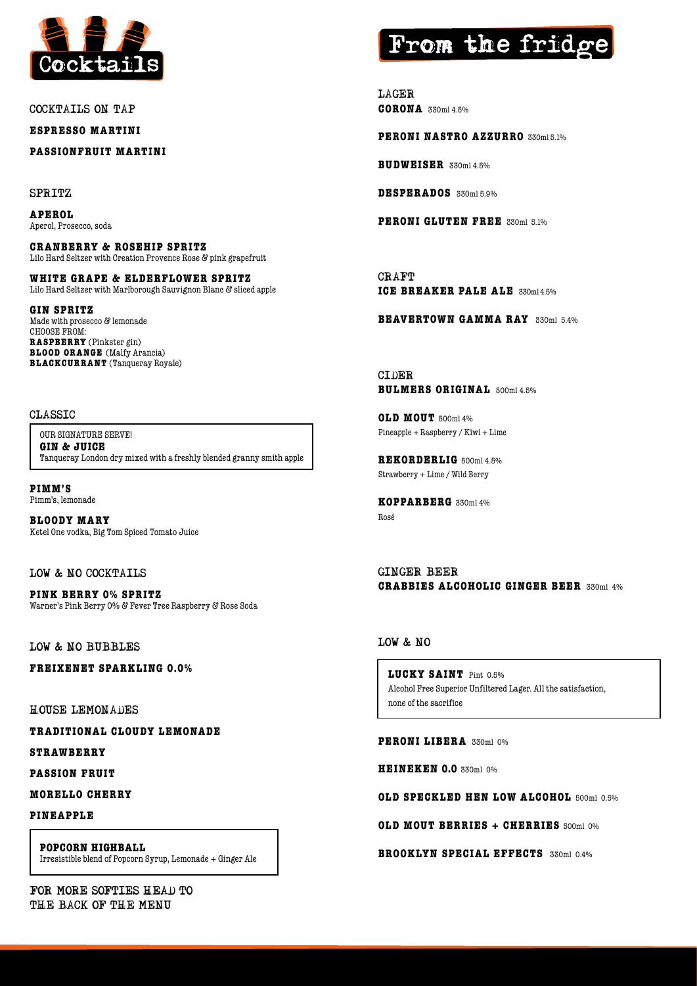

COCKTAILS ON TAP

**ESPRESSO MARTINI** 

**PASSIONFRUIT MARTINI** 

SPRITZ

**APEROL** Aperol, Prosecco, soda

**CRANBERRY & ROSEHIP SPRITZ** Lilo Hard Seltzer with Creation Provence Rose & pink grapefruit

**WHITE GRAPE & ELDERFLOWER SPRITZ** Lilo Hard Seltzer with Marlborough Sauvignon Blanc & sliced apple

**GIN SPRITZ** Made with prosecco & lemonade CHOOSE FROM: **RASPBERRY** (Pinkster gin) **BLOOD ORANGE** (Malfy Arancia) **BLACKCURRANT** (Tanqueray Royale)

#### CLASSIC

OUR SIGNATURE SERVE! **GIN & JUICE** Tanqueray London dry mixed with a freshly blended granny smith apple

**PIMM'S** Pimm's, lemonade

**BLOODY MARY** Ketel One vodka, Big Tom Spiced Tomato Juice

LOW & NO COCKTAILS

**PINK BERRY 0% SPRITZ** Warner's Pink Berry 0% & Fever Tree Raspberry & Rose Soda

LOW & NO BUBBLES

**FREIXENET SPARKLING 0.0%**

HOUSE LEMONADES

**TRADITIONAL CLOUDY LEMONADE**

**STRAWBERRY**

**PASSION FRUIT**

**MORELLO CHERRY**

**PINEAPPLE**

**POPCORN HIGHBALL**  Irresistible blend of Popcorn Syrup, Lemonade + Ginger Ale

FOR MORE SOFTIES HEAD TO THE BACK OF THE MENU

# From the frid

LAGER **CORONA** 330ml 4.5%

**PERONI NASTRO AZZURRO** 330ml 5.1%

**BUDWEISER** 330ml 4.5%

**DESPERADOS** 330ml 5.9%

**PERONI GLUTEN FREE** 330ml 5.1%

CRAFT **ICE BREAKER PALE ALE** 330ml 4.5%

**BEAVERTOWN GAMMA RAY** 330ml 5.4%

CIDER **BULMERS ORIGINAL** 500ml 4.5%

**OLD MOUT** 500ml 4% Pineapple + Raspberry / Kiwi + Lime

**REKORDERLIG** 500ml 4.5% Strawberry + Lime / Wild Berry

**KOPPARBERG** 330ml 4% Rosé

GINGER BEER **CRABBIES ALCOHOLIC GINGER BEER** 330ml 4%

### LOW & NO

**LUCKY SAINT** Pint 0.5% Alcohol Free Superior Unfiltered Lager. All the satisfaction, none of the sacrifice

**PERONI LIBERA** 330ml 0%

**HEINEKEN 0.0** 330ml 0%

**OLD SPECKLED HEN LOW ALCOHOL** 500ml 0.5%

**OLD MOUT BERRIES + CHERRIES** 500ml 0%

**BROOKLYN SPECIAL EFFECTS** 330ml 0.4%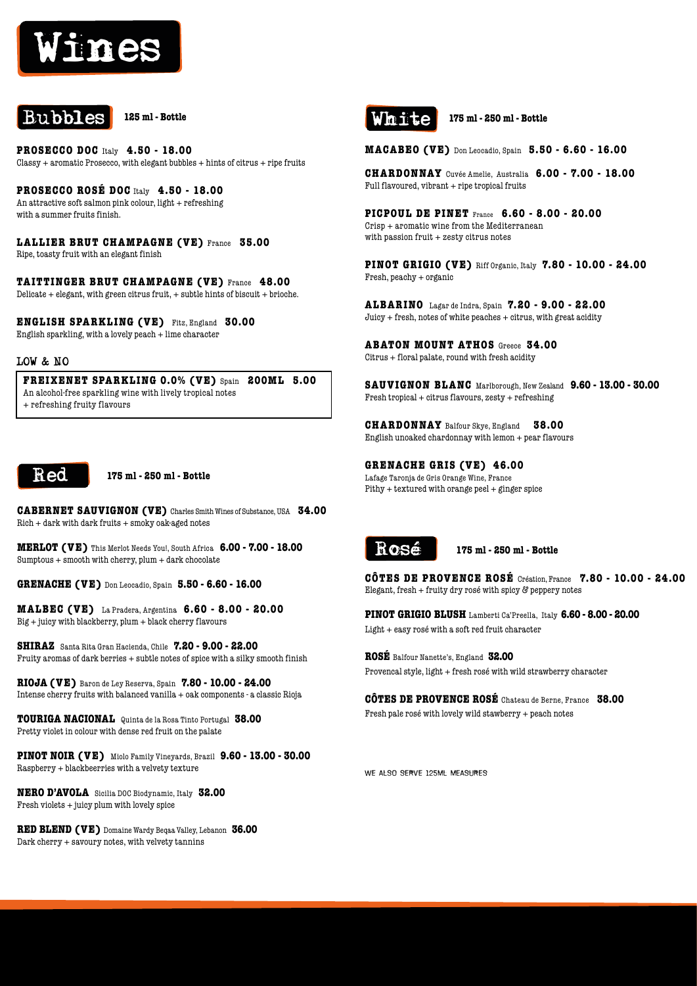# Wines



**PROSECCO DOC** Italy **4.50 - 18.00**  $Classy + aromatic Prosecco, with elegant bubbles + hints of citrus + ripe fruits$ 

**PROSECCO ROSÉ DOC** Italy **4.50 - 18.00** An attractive soft salmon pink colour, light + refreshing with a summer fruits finish.

**LALLIER BRUT CHAMPAGNE (VE)** France **35.00** Ripe, toasty fruit with an elegant finish

**TAITTINGER BRUT CHAMPAGNE (VE)** France **48.00** Delicate + elegant, with green citrus fruit, + subtle hints of biscuit + brioche.

**ENGLISH SPARKLING (VE)** Fitz, England **30.00** English sparkling, with a lovely peach + lime character

#### LOW & NO

**FREIXENET SPARKLING 0.0% (VE)** Spain **200ML 5.00** An alcohol-free sparkling wine with lively tropical notes + refreshing fruity flavours



**175 ml - 250 ml - Bottle**

**CABERNET SAUVIGNON (VE)** Charles Smith Wines of Substance, USA **34.00**  $Rich + dark$  with dark fruits  $+$  smoky oak-aged notes

**MERLOT (VE)** This Merlot Needs You!, South Africa **6.00 - 7.00 - 18.00** Sumptous  $+$  smooth with cherry, plum  $+$  dark chocolate

**GRENACHE (VE)** Don Leocadio, Spain **5.50 - 6.60 - 16.00**

**MALBEC (VE)** La Pradera, Argentina **6.60 - 8.00 - 20.00** Big + juicy with blackberry, plum + black cherry flavours

**SHIRAZ** Santa Rita Gran Hacienda, Chile **7.20 - 9.00 - 22.00** Fruity aromas of dark berries + subtle notes of spice with a silky smooth finish

**RIOJA (VE)** Baron de Ley Reserva, Spain **7.80 - 10.00 - 24.00** Intense cherry fruits with balanced vanilla + oak components - a classic Rioja

**TOURIGA NACIONAL** Quinta de la Rosa Tinto Portugal **38.00** Pretty violet in colour with dense red fruit on the palate

**PINOT NOIR (VE)** Miolo Family Vineyards, Brazil **9.60 - 13.00 - 30.00** Raspberry + blackbeerries with a velvety texture

**NERO D'AVOLA** Sicilia DOC Biodynamic, Italy **32.00** Fresh violets + juicy plum with lovely spice

**RED BLEND (VE)** Domaine Wardy Beqaa Valley, Lebanon **36.00** Dark cherry + savoury notes, with velvety tannins



**175 ml - 250 ml - Bottle**

**MACABEO (VE)** Don Leocadio, Spain **5.50 - 6.60 - 16.00** 

**CHARDONNAY** Cuvée Amelie, Australia **6.00 - 7.00 - 18.00**  $Full\,flavoured, vibrant + ripet\, tropical\, fruits$ 

**PICPOUL DE PINET** France **6.60 - 8.00 - 20.00** Crisp + aromatic wine from the Mediterranean with passion fruit  $+$  zesty citrus notes

**PINOT GRIGIO (VE)** Riff Organic, Italy **7.80 - 10.00 - 24.00**  Fresh, peachy + organic

**ALBARINO** Lagar de Indra, Spain **7.20 - 9.00 - 22.00**  $Juicy + fresh$ , notes of white peaches  $+$  citrus, with great acidity

**ABATON MOUNT ATHOS** Greece **34.00** Citrus + floral palate, round with fresh acidity

**SAUVIGNON BLANC** Marlborough, New Zealand **9.60 - 13.00 - 30.00** Fresh tropical + citrus flavours, zesty + refreshing

**CHARDONNAY** Balfour Skye, England **38.00** English unoaked chardonnay with lemon + pear flavours

**GRENACHE GRIS (VE) 46.00**

Lafage Taronja de Gris Orange Wine, France Pithy + textured with orange peel + ginger spice



**175 ml - 250 ml - Bottle**

**CÔTES DE PROVENCE ROSÉ** Création, France **7.80 - 10.00 - 24.00** Elegant, fresh  $+$  fruity dry rosé with spicy  $\mathcal G$  peppery notes

**PINOT GRIGIO BLUSH** Lamberti Ca'Preella, Italy **6.60 - 8.00 - 20.00** Light + easy rosé with a soft red fruit character

**ROSÉ** Balfour Nanette's, England **32.00** Provencal style, light + fresh rosé with wild strawberry character

**CÔTES DE PROVENCE ROSÉ** Chateau de Berne, France **38.00** Fresh pale rosé with lovely wild stawberry + peach notes

we also serve 125ml measures